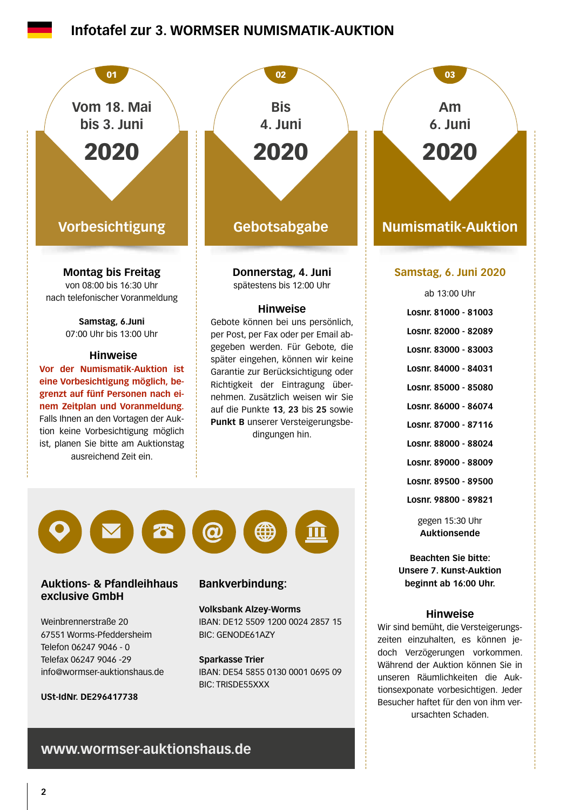### **Infotafel zur 3. WORMSER NUMISMATIK-AUKTION**



IBAN: DE54 5855 0130 0001 0695 09 BIC: TRISDE55XXX

unseren Räumlichkeiten die Auktionsexponate vorbesichtigen. Jeder Besucher haftet für den von ihm verursachten Schaden.

### **www.wormser-auktionshaus.de**

info@wormser-auktionshaus.de

**USt-IdNr. DE296417738**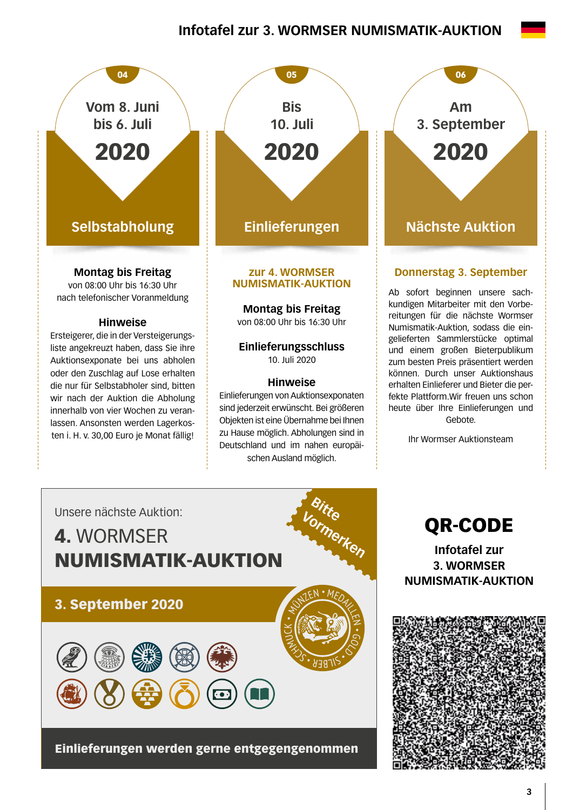## **Infotafel zur 3. WORMSER NUMISMATIK-AUKTION**

05

**Bis**





#### Ab sofort beginnen unsere sachkundigen Mitarbeiter mit den Vorbereitungen für die nächste Wormser Numismatik-Auktion, sodass die eingelieferten Sammlerstücke optimal

und einem großen Bieterpublikum zum besten Preis präsentiert werden können. Durch unser Auktionshaus erhalten Einlieferer und Bieter die perfekte Plattform.Wir freuen uns schon heute über Ihre Einlieferungen und Gebote.

Ihr Wormser Auktionsteam



QR-CODE

**Infotafel zur 3. WORMSER NUMISMATIK-AUKTION**

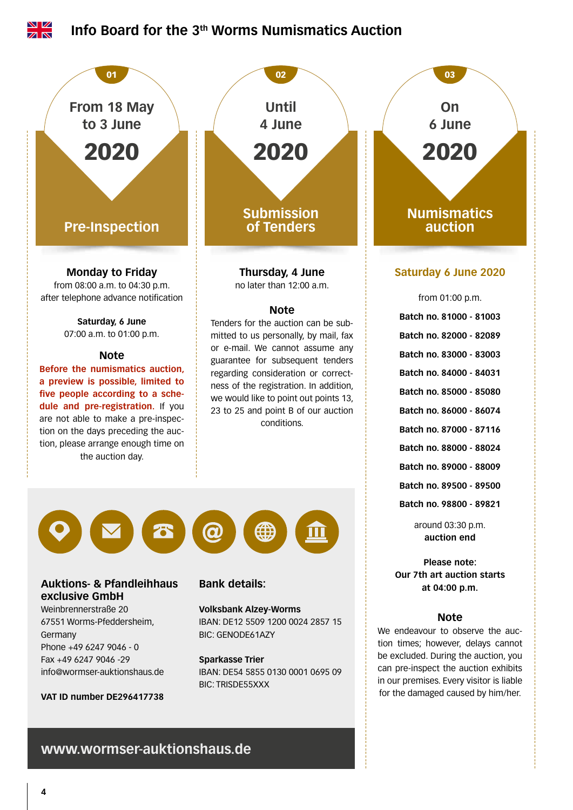

### **www.wormser-auktionshaus.de**